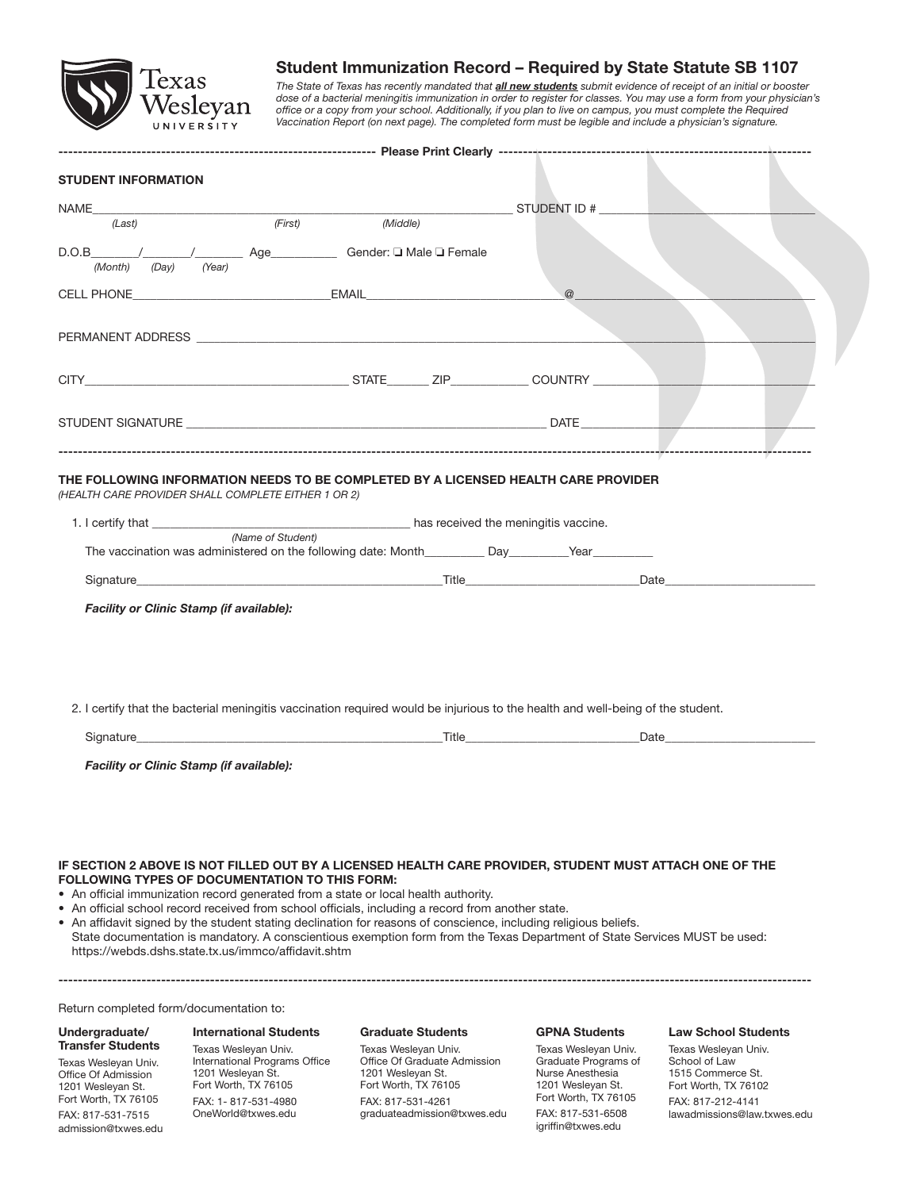

# Student Immunization Record – Required by State Statute SB 1107

*The State of Texas has recently mandated that all new students submit evidence of receipt of an initial or booster dose of a bacterial meningitis immunization in order to register for classes. You may use a form from your physician's*  office or a copy from your school. Additionally, if you plan to live on campus, you must complete the Required *Vaccination Report (on next page). The completed form must be legible and include a physician's signature.*

| <b>STUDENT INFORMATION</b>                                                                                   |                   |                                                                                                                                                                                                                                                                                                                                                                                                                                                                                                                                                        |          |  |  |
|--------------------------------------------------------------------------------------------------------------|-------------------|--------------------------------------------------------------------------------------------------------------------------------------------------------------------------------------------------------------------------------------------------------------------------------------------------------------------------------------------------------------------------------------------------------------------------------------------------------------------------------------------------------------------------------------------------------|----------|--|--|
|                                                                                                              |                   |                                                                                                                                                                                                                                                                                                                                                                                                                                                                                                                                                        |          |  |  |
| (Last)                                                                                                       | (First)           | (Middle)                                                                                                                                                                                                                                                                                                                                                                                                                                                                                                                                               |          |  |  |
|                                                                                                              |                   |                                                                                                                                                                                                                                                                                                                                                                                                                                                                                                                                                        |          |  |  |
| (Day)<br>(Year)<br>(Month)                                                                                   |                   | D.O.B / / Age Gender: I Male I Female                                                                                                                                                                                                                                                                                                                                                                                                                                                                                                                  |          |  |  |
|                                                                                                              |                   |                                                                                                                                                                                                                                                                                                                                                                                                                                                                                                                                                        |          |  |  |
|                                                                                                              |                   | CELL PHONE <b>EXAMPLE 1999</b> CELL PHONE                                                                                                                                                                                                                                                                                                                                                                                                                                                                                                              | $\omega$ |  |  |
|                                                                                                              |                   |                                                                                                                                                                                                                                                                                                                                                                                                                                                                                                                                                        |          |  |  |
|                                                                                                              |                   |                                                                                                                                                                                                                                                                                                                                                                                                                                                                                                                                                        |          |  |  |
|                                                                                                              |                   |                                                                                                                                                                                                                                                                                                                                                                                                                                                                                                                                                        |          |  |  |
|                                                                                                              |                   |                                                                                                                                                                                                                                                                                                                                                                                                                                                                                                                                                        |          |  |  |
|                                                                                                              |                   |                                                                                                                                                                                                                                                                                                                                                                                                                                                                                                                                                        |          |  |  |
|                                                                                                              |                   |                                                                                                                                                                                                                                                                                                                                                                                                                                                                                                                                                        |          |  |  |
| (HEALTH CARE PROVIDER SHALL COMPLETE EITHER 1 OR 2)                                                          | (Name of Student) |                                                                                                                                                                                                                                                                                                                                                                                                                                                                                                                                                        |          |  |  |
|                                                                                                              |                   | The vaccination was administered on the following date: Month ________ Day _______ Year                                                                                                                                                                                                                                                                                                                                                                                                                                                                |          |  |  |
|                                                                                                              |                   |                                                                                                                                                                                                                                                                                                                                                                                                                                                                                                                                                        |          |  |  |
| Facility or Clinic Stamp (if available):                                                                     |                   |                                                                                                                                                                                                                                                                                                                                                                                                                                                                                                                                                        |          |  |  |
|                                                                                                              |                   | 2. I certify that the bacterial meningitis vaccination required would be injurious to the health and well-being of the student.                                                                                                                                                                                                                                                                                                                                                                                                                        |          |  |  |
|                                                                                                              |                   |                                                                                                                                                                                                                                                                                                                                                                                                                                                                                                                                                        |          |  |  |
| Facility or Clinic Stamp (if available):                                                                     |                   |                                                                                                                                                                                                                                                                                                                                                                                                                                                                                                                                                        |          |  |  |
| <b>FOLLOWING TYPES OF DOCUMENTATION TO THIS FORM:</b><br>https://webds.dshs.state.tx.us/immco/affidavit.shtm |                   | IF SECTION 2 ABOVE IS NOT FILLED OUT BY A LICENSED HEALTH CARE PROVIDER, STUDENT MUST ATTACH ONE OF THE<br>• An official immunization record generated from a state or local health authority.<br>• An official school record received from school officials, including a record from another state.<br>• An affidavit signed by the student stating declination for reasons of conscience, including religious beliefs.<br>State documentation is mandatory. A conscientious exemption form from the Texas Department of State Services MUST be used: |          |  |  |
| Return completed form/documentation to:                                                                      |                   |                                                                                                                                                                                                                                                                                                                                                                                                                                                                                                                                                        |          |  |  |

Undergraduate/ Transfer Students

Texas Wesleyan Univ. Office Of Admission 1201 Wesleyan St. Fort Worth, TX 76105 FAX: 817-531-7515 admission@txwes.edu

International Students Texas Wesleyan Univ. International Programs Office 1201 Wesleyan St. Fort Worth, TX 76105 FAX: 1- 817-531-4980 OneWorld@txwes.edu

### Graduate Students

Texas Wesleyan Univ. Office Of Graduate Admission 1201 Wesleyan St. Fort Worth, TX 76105 FAX: 817-531-4261 graduateadmission@txwes.edu

### GPNA Students

Texas Wesleyan Univ. Graduate Programs of Nurse Anesthesia 1201 Wesleyan St. Fort Worth, TX 76105 FAX: 817-531-6508 igriffin@txwes.edu

#### Law School Students

Texas Wesleyan Univ. School of Law 1515 Commerce St. Fort Worth, TX 76102 FAX: 817-212-4141 lawadmissions@law.txwes.edu